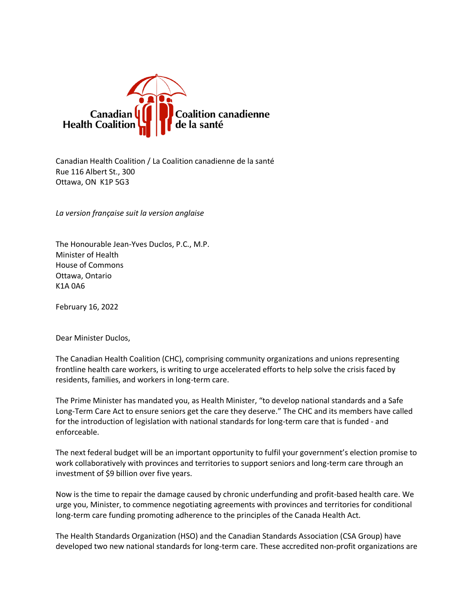

Canadian Health Coalition / La Coalition canadienne de la santé Rue 116 Albert St., 300 Ottawa, ON K1P 5G3

*La version française suit la version anglaise*

The Honourable Jean-Yves Duclos, P.C., M.P. Minister of Health House of Commons Ottawa, Ontario K1A 0A6

February 16, 2022

Dear Minister Duclos,

The Canadian Health Coalition (CHC), comprising community organizations and unions representing frontline health care workers, is writing to urge accelerated efforts to help solve the crisis faced by residents, families, and workers in long-term care.

The Prime Minister has mandated you, as Health Minister, "to develop national standards and a Safe Long-Term Care Act to ensure seniors get the care they deserve." The CHC and its members have called for the introduction of legislation with national standards for long-term care that is funded - and enforceable.

The next federal budget will be an important opportunity to fulfil your government's election promise to work collaboratively with provinces and territories to support seniors and long-term care through an investment of \$9 billion over five years.

Now is the time to repair the damage caused by chronic underfunding and profit-based health care. We urge you, Minister, to commence negotiating agreements with provinces and territories for conditional long-term care funding promoting adherence to the principles of the Canada Health Act.

The Health Standards Organization (HSO) and the Canadian Standards Association (CSA Group) have developed two new national standards for long-term care. These accredited non-profit organizations are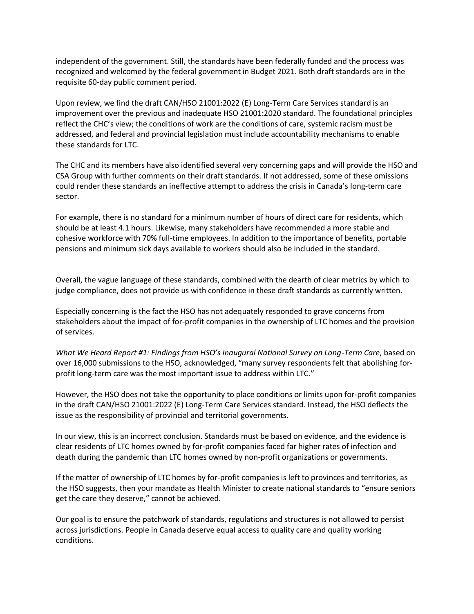independent of the government. Still, the standards have been federally funded and the process was recognized and welcomed by the federal government in Budget 2021. Both draft standards are in the requisite 60-day public comment period.

Upon review, we find the draft CAN/HSO 21001:2022 (E) Long-Term Care Services standard is an improvement over the previous and inadequate HSO 21001:2020 standard. The foundational principles reflect the CHC's view; the conditions of work are the conditions of care, systemic racism must be addressed, and federal and provincial legislation must include accountability mechanisms to enable these standards for LTC.

The CHC and its members have also identified several very concerning gaps and will provide the HSO and CSA Group with further comments on their draft standards. If not addressed, some of these omissions could render these standards an ineffective attempt to address the crisis in Canada's long-term care sector.

For example, there is no standard for a minimum number of hours of direct care for residents, which should be at least 4.1 hours. Likewise, many stakeholders have recommended a more stable and cohesive workforce with 70% full-time employees. In addition to the importance of benefits, portable pensions and minimum sick days available to workers should also be included in the standard.

Overall, the vague language of these standards, combined with the dearth of clear metrics by which to judge compliance, does not provide us with confidence in these draft standards as currently written.

Especially concerning is the fact the HSO has not adequately responded to grave concerns from stakeholders about the impact of for-profit companies in the ownership of LTC homes and the provision of services.

*What We Heard Report #1: Findings from HSO's Inaugural National Survey on Long-Term Care*, based on over 16,000 submissions to the HSO, acknowledged, "many survey respondents felt that abolishing forprofit long-term care was the most important issue to address within LTC."

However, the HSO does not take the opportunity to place conditions or limits upon for-profit companies in the draft CAN/HSO 21001:2022 (E) Long-Term Care Services standard. Instead, the HSO deflects the issue as the responsibility of provincial and territorial governments.

In our view, this is an incorrect conclusion. Standards must be based on evidence, and the evidence is clear residents of LTC homes owned by for-profit companies faced far higher rates of infection and death during the pandemic than LTC homes owned by non-profit organizations or governments.

If the matter of ownership of LTC homes by for-profit companies is left to provinces and territories, as the HSO suggests, then your mandate as Health Minister to create national standards to "ensure seniors get the care they deserve," cannot be achieved.

Our goal is to ensure the patchwork of standards, regulations and structures is not allowed to persist across jurisdictions. People in Canada deserve equal access to quality care and quality working conditions.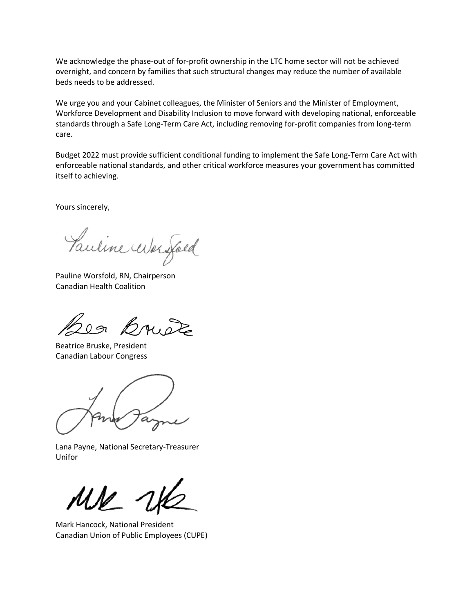We acknowledge the phase-out of for-profit ownership in the LTC home sector will not be achieved overnight, and concern by families that such structural changes may reduce the number of available beds needs to be addressed.

We urge you and your Cabinet colleagues, the Minister of Seniors and the Minister of Employment, Workforce Development and Disability Inclusion to move forward with developing national, enforceable standards through a Safe Long-Term Care Act, including removing for-profit companies from long-term care.

Budget 2022 must provide sufficient conditional funding to implement the Safe Long-Term Care Act with enforceable national standards, and other critical workforce measures your government has committed itself to achieving.

Yours sincerely,

Pauline Worsfold

Pauline Worsfold, RN, Chairperson Canadian Health Coalition

200 Brust

Beatrice Bruske, President Canadian Labour Congress

Lana Payne, National Secretary-Treasurer Unifor

Mark Hancock, National President Canadian Union of Public Employees (CUPE)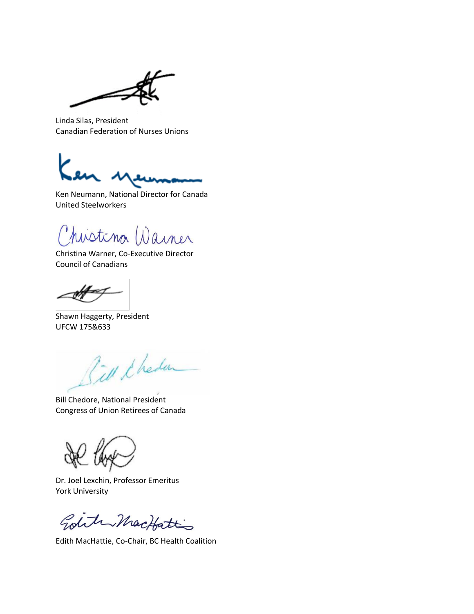Linda Silas, President Canadian Federation of Nurses Unions

Ken Neumann, National Director for Canada United Steelworkers

histina Warner

Christina Warner, Co-Executive Director Council of Canadians

æ

Shawn Haggerty, President UFCW 175&633

Till & heden

Bill Chedore, National President Congress of Union Retirees of Canada

Dr. Joel Lexchin, Professor Emeritus York University

Golite MacHatt

Edith MacHattie, Co-Chair, BC Health Coalition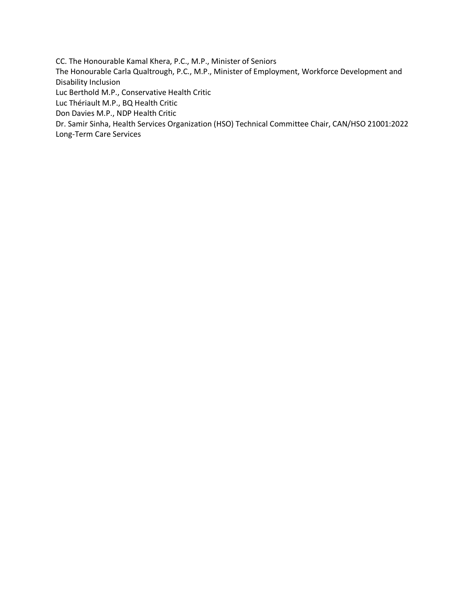CC. The Honourable Kamal Khera, P.C., M.P., Minister of Seniors The Honourable Carla Qualtrough, P.C., M.P., Minister of Employment, Workforce Development and Disability Inclusion Luc Berthold M.P., Conservative Health Critic Luc Thériault M.P., BQ Health Critic Don Davies M.P., NDP Health Critic Dr. Samir Sinha, Health Services Organization (HSO) Technical Committee Chair, CAN/HSO 21001:2022 Long-Term Care Services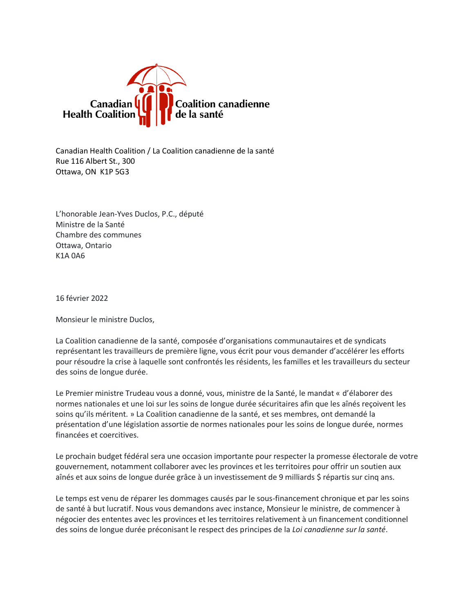

Canadian Health Coalition / La Coalition canadienne de la santé Rue 116 Albert St., 300 Ottawa, ON K1P 5G3

L'honorable Jean-Yves Duclos, P.C., député Ministre de la Santé Chambre des communes Ottawa, Ontario K1A 0A6

16 février 2022

Monsieur le ministre Duclos,

La Coalition canadienne de la santé, composée d'organisations communautaires et de syndicats représentant les travailleurs de première ligne, vous écrit pour vous demander d'accélérer les efforts pour résoudre la crise à laquelle sont confrontés les résidents, les familles et les travailleurs du secteur des soins de longue durée.

Le Premier ministre Trudeau vous a donné, vous, ministre de la Santé, le mandat « d'élaborer des normes nationales et une loi sur les soins de longue durée sécuritaires afin que les aînés reçoivent les soins qu'ils méritent. » La Coalition canadienne de la santé, et ses membres, ont demandé la présentation d'une législation assortie de normes nationales pour les soins de longue durée, normes financées et coercitives.

Le prochain budget fédéral sera une occasion importante pour respecter la promesse électorale de votre gouvernement, notamment collaborer avec les provinces et les territoires pour offrir un soutien aux aînés et aux soins de longue durée grâce à un investissement de 9 milliards \$ répartis sur cinq ans.

Le temps est venu de réparer les dommages causés par le sous-financement chronique et par les soins de santé à but lucratif. Nous vous demandons avec instance, Monsieur le ministre, de commencer à négocier des ententes avec les provinces et les territoires relativement à un financement conditionnel des soins de longue durée préconisant le respect des principes de la *Loi canadienne sur la santé*.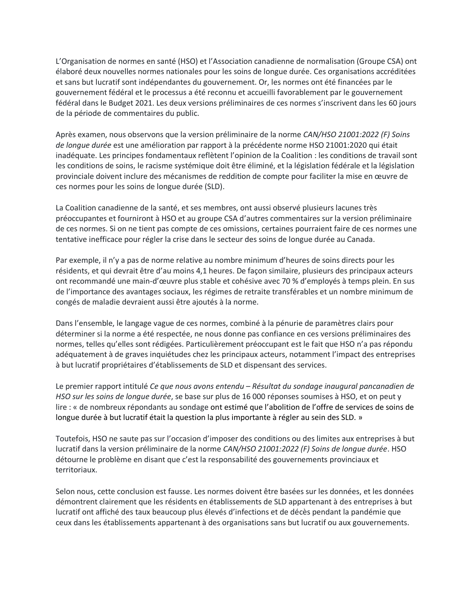L'Organisation de normes en santé (HSO) et l'Association canadienne de normalisation (Groupe CSA) ont élaboré deux nouvelles normes nationales pour les soins de longue durée. Ces organisations accréditées et sans but lucratif sont indépendantes du gouvernement. Or, les normes ont été financées par le gouvernement fédéral et le processus a été reconnu et accueilli favorablement par le gouvernement fédéral dans le Budget 2021. Les deux versions préliminaires de ces normes s'inscrivent dans les 60 jours de la période de commentaires du public.

Après examen, nous observons que la version préliminaire de la norme *CAN/HSO 21001:2022 (F) Soins de longue durée* est une amélioration par rapport à la précédente norme HSO 21001:2020 qui était inadéquate. Les principes fondamentaux reflètent l'opinion de la Coalition : les conditions de travail sont les conditions de soins, le racisme systémique doit être éliminé, et la législation fédérale et la législation provinciale doivent inclure des mécanismes de reddition de compte pour faciliter la mise en œuvre de ces normes pour les soins de longue durée (SLD).

La Coalition canadienne de la santé, et ses membres, ont aussi observé plusieurs lacunes très préoccupantes et fourniront à HSO et au groupe CSA d'autres commentaires sur la version préliminaire de ces normes. Si on ne tient pas compte de ces omissions, certaines pourraient faire de ces normes une tentative inefficace pour régler la crise dans le secteur des soins de longue durée au Canada.

Par exemple, il n'y a pas de norme relative au nombre minimum d'heures de soins directs pour les résidents, et qui devrait être d'au moins 4,1 heures. De façon similaire, plusieurs des principaux acteurs ont recommandé une main-d'œuvre plus stable et cohésive avec 70 % d'employés à temps plein. En sus de l'importance des avantages sociaux, les régimes de retraite transférables et un nombre minimum de congés de maladie devraient aussi être ajoutés à la norme.

Dans l'ensemble, le langage vague de ces normes, combiné à la pénurie de paramètres clairs pour déterminer si la norme a été respectée, ne nous donne pas confiance en ces versions préliminaires des normes, telles qu'elles sont rédigées. Particulièrement préoccupant est le fait que HSO n'a pas répondu adéquatement à de graves inquiétudes chez les principaux acteurs, notamment l'impact des entreprises à but lucratif propriétaires d'établissements de SLD et dispensant des services.

Le premier rapport intitulé *Ce que nous avons entendu – Résultat du sondage inaugural pancanadien de HSO sur les soins de longue durée*, se base sur plus de 16 000 réponses soumises à HSO, et on peut y lire : « de nombreux répondants au sondage ont estimé que l'abolition de l'offre de services de soins de longue durée à but lucratif était la question la plus importante à régler au sein des SLD. »

Toutefois, HSO ne saute pas sur l'occasion d'imposer des conditions ou des limites aux entreprises à but lucratif dans la version préliminaire de la norme *CAN/HSO 21001:2022 (F) Soins de longue durée*. HSO détourne le problème en disant que c'est la responsabilité des gouvernements provinciaux et territoriaux.

Selon nous, cette conclusion est fausse. Les normes doivent être basées sur les données, et les données démontrent clairement que les résidents en établissements de SLD appartenant à des entreprises à but lucratif ont affiché des taux beaucoup plus élevés d'infections et de décès pendant la pandémie que ceux dans les établissements appartenant à des organisations sans but lucratif ou aux gouvernements.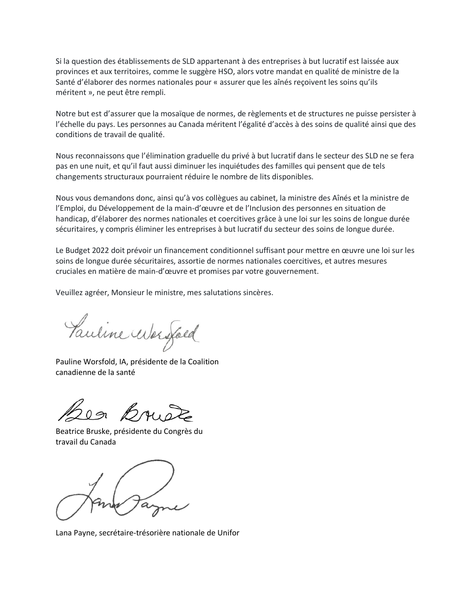Si la question des établissements de SLD appartenant à des entreprises à but lucratif est laissée aux provinces et aux territoires, comme le suggère HSO, alors votre mandat en qualité de ministre de la Santé d'élaborer des normes nationales pour « assurer que les aînés reçoivent les soins qu'ils méritent », ne peut être rempli.

Notre but est d'assurer que la mosaïque de normes, de règlements et de structures ne puisse persister à l'échelle du pays. Les personnes au Canada méritent l'égalité d'accès à des soins de qualité ainsi que des conditions de travail de qualité.

Nous reconnaissons que l'élimination graduelle du privé à but lucratif dans le secteur des SLD ne se fera pas en une nuit, et qu'il faut aussi diminuer les inquiétudes des familles qui pensent que de tels changements structuraux pourraient réduire le nombre de lits disponibles.

Nous vous demandons donc, ainsi qu'à vos collègues au cabinet, la ministre des Aînés et la ministre de l'Emploi, du Développement de la main-d'œuvre et de l'Inclusion des personnes en situation de handicap, d'élaborer des normes nationales et coercitives grâce à une loi sur les soins de longue durée sécuritaires, y compris éliminer les entreprises à but lucratif du secteur des soins de longue durée.

Le Budget 2022 doit prévoir un financement conditionnel suffisant pour mettre en œuvre une loi sur les soins de longue durée sécuritaires, assortie de normes nationales coercitives, et autres mesures cruciales en matière de main-d'œuvre et promises par votre gouvernement.

Veuillez agréer, Monsieur le ministre, mes salutations sincères.

Pauline Worsfold

Pauline Worsfold, IA, présidente de la Coalition canadienne de la santé

Les Bruè

Beatrice Bruske, présidente du Congrès du travail du Canada

Lana Payne, secrétaire-trésorière nationale de Unifor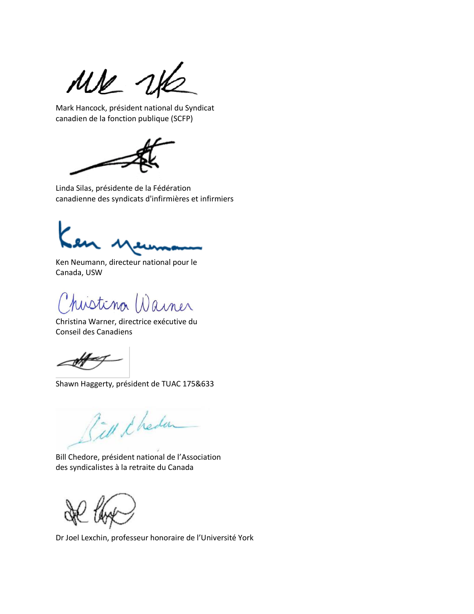MK WK

Mark Hancock, président national du Syndicat canadien de la fonction publique (SCFP)



Linda Silas, présidente de la Fédération canadienne des syndicats d'infirmières et infirmiers

Ken Neumann, directeur national pour le Canada, USW

Chistina Warner

Christina Warner, directrice exécutive du Conseil des Canadiens

Shawn Haggerty, président de TUAC 175&633

Fill & heden

Bill Chedore, président national de l'Association des syndicalistes à la retraite du Canada

Dr Joel Lexchin, professeur honoraire de l'Université York